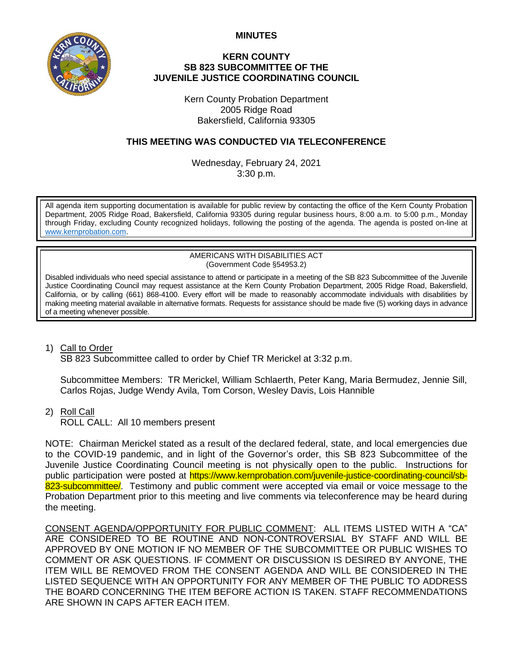**MINUTES**



## **KERN COUNTY SB 823 SUBCOMMITTEE OF THE JUVENILE JUSTICE COORDINATING COUNCIL**

Kern County Probation Department 2005 Ridge Road Bakersfield, California 93305

## **THIS MEETING WAS CONDUCTED VIA TELECONFERENCE**

Wednesday, February 24, 2021 3:30 p.m.

All agenda item supporting documentation is available for public review by contacting the office of the Kern County Probation Department, 2005 Ridge Road, Bakersfield, California 93305 during regular business hours, 8:00 a.m. to 5:00 p.m., Monday through Friday, excluding County recognized holidays, following the posting of the agenda. The agenda is posted on-line at [www.kernprobation.com.](http://www.kernprobation.com/)

> AMERICANS WITH DISABILITIES ACT (Government Code §54953.2)

Disabled individuals who need special assistance to attend or participate in a meeting of the SB 823 Subcommittee of the Juvenile Justice Coordinating Council may request assistance at the Kern County Probation Department, 2005 Ridge Road, Bakersfield, California, or by calling (661) 868-4100. Every effort will be made to reasonably accommodate individuals with disabilities by making meeting material available in alternative formats. Requests for assistance should be made five (5) working days in advance of a meeting whenever possible.

## 1) Call to Order

SB 823 Subcommittee called to order by Chief TR Merickel at 3:32 p.m.

Subcommittee Members: TR Merickel, William Schlaerth, Peter Kang, Maria Bermudez, Jennie Sill, Carlos Rojas, Judge Wendy Avila, Tom Corson, Wesley Davis, Lois Hannible

2) Roll Call

ROLL CALL: All 10 members present

NOTE: Chairman Merickel stated as a result of the declared federal, state, and local emergencies due to the COVID-19 pandemic, and in light of the Governor's order, this SB 823 Subcommittee of the Juvenile Justice Coordinating Council meeting is not physically open to the public. Instructions for public participation were posted at https://www.kernprobation.com/juvenile-justice-coordinating-council/sb-823-subcommittee. Testimony and public comment were accepted via email or voice message to the Probation Department prior to this meeting and live comments via teleconference may be heard during the meeting.

CONSENT AGENDA/OPPORTUNITY FOR PUBLIC COMMENT: ALL ITEMS LISTED WITH A "CA" ARE CONSIDERED TO BE ROUTINE AND NON-CONTROVERSIAL BY STAFF AND WILL BE APPROVED BY ONE MOTION IF NO MEMBER OF THE SUBCOMMITTEE OR PUBLIC WISHES TO COMMENT OR ASK QUESTIONS. IF COMMENT OR DISCUSSION IS DESIRED BY ANYONE, THE ITEM WILL BE REMOVED FROM THE CONSENT AGENDA AND WILL BE CONSIDERED IN THE LISTED SEQUENCE WITH AN OPPORTUNITY FOR ANY MEMBER OF THE PUBLIC TO ADDRESS THE BOARD CONCERNING THE ITEM BEFORE ACTION IS TAKEN. STAFF RECOMMENDATIONS ARE SHOWN IN CAPS AFTER EACH ITEM.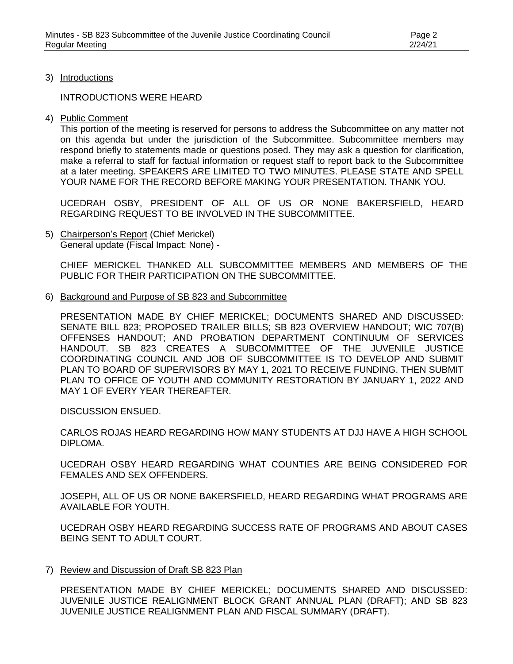3) Introductions

INTRODUCTIONS WERE HEARD

4) Public Comment

This portion of the meeting is reserved for persons to address the Subcommittee on any matter not on this agenda but under the jurisdiction of the Subcommittee. Subcommittee members may respond briefly to statements made or questions posed. They may ask a question for clarification, make a referral to staff for factual information or request staff to report back to the Subcommittee at a later meeting. SPEAKERS ARE LIMITED TO TWO MINUTES. PLEASE STATE AND SPELL YOUR NAME FOR THE RECORD BEFORE MAKING YOUR PRESENTATION. THANK YOU.

UCEDRAH OSBY, PRESIDENT OF ALL OF US OR NONE BAKERSFIELD, HEARD REGARDING REQUEST TO BE INVOLVED IN THE SUBCOMMITTEE.

5) Chairperson's Report (Chief Merickel) General update (Fiscal Impact: None) -

CHIEF MERICKEL THANKED ALL SUBCOMMITTEE MEMBERS AND MEMBERS OF THE PUBLIC FOR THEIR PARTICIPATION ON THE SUBCOMMITTEE.

6) Background and Purpose of SB 823 and Subcommittee

PRESENTATION MADE BY CHIEF MERICKEL; DOCUMENTS SHARED AND DISCUSSED: SENATE BILL 823; PROPOSED TRAILER BILLS; SB 823 OVERVIEW HANDOUT; WIC 707(B) OFFENSES HANDOUT; AND PROBATION DEPARTMENT CONTINUUM OF SERVICES HANDOUT. SB 823 CREATES A SUBCOMMITTEE OF THE JUVENILE JUSTICE COORDINATING COUNCIL AND JOB OF SUBCOMMITTEE IS TO DEVELOP AND SUBMIT PLAN TO BOARD OF SUPERVISORS BY MAY 1, 2021 TO RECEIVE FUNDING. THEN SUBMIT PLAN TO OFFICE OF YOUTH AND COMMUNITY RESTORATION BY JANUARY 1, 2022 AND MAY 1 OF EVERY YEAR THEREAFTER.

DISCUSSION ENSUED.

CARLOS ROJAS HEARD REGARDING HOW MANY STUDENTS AT DJJ HAVE A HIGH SCHOOL DIPLOMA.

UCEDRAH OSBY HEARD REGARDING WHAT COUNTIES ARE BEING CONSIDERED FOR FEMALES AND SEX OFFENDERS.

JOSEPH, ALL OF US OR NONE BAKERSFIELD, HEARD REGARDING WHAT PROGRAMS ARE AVAILABLE FOR YOUTH.

UCEDRAH OSBY HEARD REGARDING SUCCESS RATE OF PROGRAMS AND ABOUT CASES BEING SENT TO ADULT COURT.

7) Review and Discussion of Draft SB 823 Plan

PRESENTATION MADE BY CHIEF MERICKEL; DOCUMENTS SHARED AND DISCUSSED: JUVENILE JUSTICE REALIGNMENT BLOCK GRANT ANNUAL PLAN (DRAFT); AND SB 823 JUVENILE JUSTICE REALIGNMENT PLAN AND FISCAL SUMMARY (DRAFT).